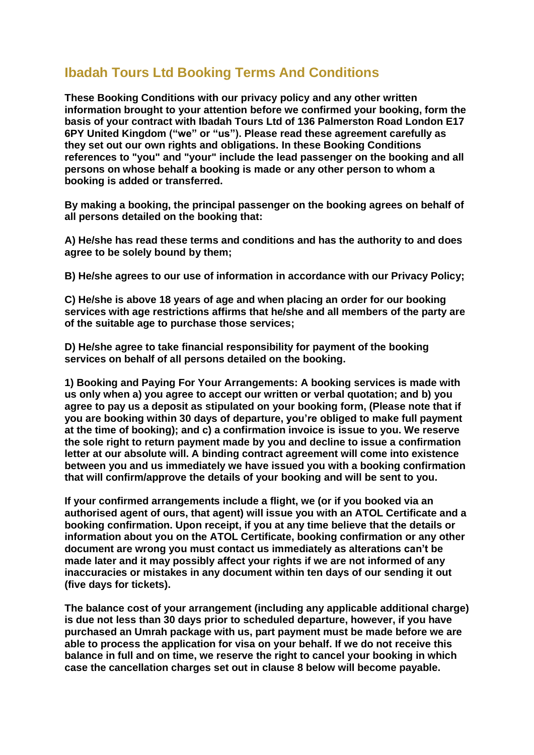## **Ibadah Tours Ltd Booking Terms And Conditions**

**These Booking Conditions with our privacy policy and any other written information brought to your attention before we confirmed your booking, form the basis of your contract with Ibadah Tours Ltd of 136 Palmerston Road London E17 6PY United Kingdom ("we" or "us"). Please read these agreement carefully as they set out our own rights and obligations. In these Booking Conditions references to "you" and "your" include the lead passenger on the booking and all persons on whose behalf a booking is made or any other person to whom a booking is added or transferred.**

**By making a booking, the principal passenger on the booking agrees on behalf of all persons detailed on the booking that:**

**A) He/she has read these terms and conditions and has the authority to and does agree to be solely bound by them;**

**B) He/she agrees to our use of information in accordance with our Privacy Policy;**

**C) He/she is above 18 years of age and when placing an order for our booking services with age restrictions affirms that he/she and all members of the party are of the suitable age to purchase those services;**

**D) He/she agree to take financial responsibility for payment of the booking services on behalf of all persons detailed on the booking.**

**1) Booking and Paying For Your Arrangements: A booking services is made with us only when a) you agree to accept our written or verbal quotation; and b) you agree to pay us a deposit as stipulated on your booking form, (Please note that if you are booking within 30 days of departure, you're obliged to make full payment at the time of booking); and c) a confirmation invoice is issue to you. We reserve the sole right to return payment made by you and decline to issue a confirmation letter at our absolute will. A binding contract agreement will come into existence between you and us immediately we have issued you with a booking confirmation that will confirm/approve the details of your booking and will be sent to you.**

**If your confirmed arrangements include a flight, we (or if you booked via an authorised agent of ours, that agent) will issue you with an ATOL Certificate and a booking confirmation. Upon receipt, if you at any time believe that the details or information about you on the ATOL Certificate, booking confirmation or any other document are wrong you must contact us immediately as alterations can't be made later and it may possibly affect your rights if we are not informed of any inaccuracies or mistakes in any document within ten days of our sending it out (five days for tickets).**

**The balance cost of your arrangement (including any applicable additional charge) is due not less than 30 days prior to scheduled departure, however, if you have purchased an Umrah package with us, part payment must be made before we are able to process the application for visa on your behalf. If we do not receive this balance in full and on time, we reserve the right to cancel your booking in which case the cancellation charges set out in clause 8 below will become payable.**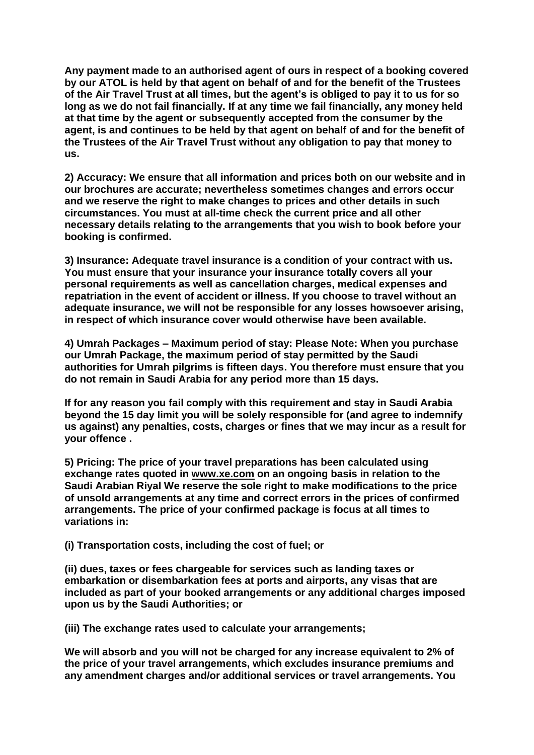**Any payment made to an authorised agent of ours in respect of a booking covered by our ATOL is held by that agent on behalf of and for the benefit of the Trustees** of the Air Travel Trust at all times, but the agent's is obliged to pay it to us for so **long as we do not fail financially. If at any time we fail financially, any money held at that time by the agent or subsequently accepted from the consumer by the agent, is and continues to be held by that agent on behalf of and for the benefit of the Trustees of the Air Travel Trust without any obligation to pay that money to us.**

**2) Accuracy: We ensure that all information and prices both on our website and in our brochures are accurate; nevertheless sometimes changes and errors occur and we reserve the right to make changes to prices and other details in such circumstances. You must at all-time check the current price and all other necessary details relating to the arrangements that you wish to book before your booking is confirmed.**

**3) Insurance: Adequate travel insurance is a condition of your contract with us. You must ensure that your insurance your insurance totally covers all your personal requirements as well as cancellation charges, medical expenses and repatriation in the event of accident or illness. If you choose to travel without an adequate insurance, we will not be responsible for any losses howsoever arising, in respect of which insurance cover would otherwise have been available.**

**4) Umrah Packages – Maximum period of stay: Please Note: When you purchase our Umrah Package, the maximum period of stay permitted by the Saudi authorities for Umrah pilgrims is fifteen days. You therefore must ensure that you do not remain in Saudi Arabia for any period more than 15 days.**

**If for any reason you fail comply with this requirement and stay in Saudi Arabia beyond the 15 day limit you will be solely responsible for (and agree to indemnify us against) any penalties, costs, charges or fines that we may incur as a result for your offence .**

**5) Pricing: The price of your travel preparations has been calculated using exchange rates quoted in [www.xe.com](http://www.xe.com/) on an ongoing basis in relation to the Saudi Arabian Riyal We reserve the sole right to make modifications to the price of unsold arrangements at any time and correct errors in the prices of confirmed arrangements. The price of your confirmed package is focus at all times to variations in:**

**(i) Transportation costs, including the cost of fuel; or**

**(ii) dues, taxes or fees chargeable for services such as landing taxes or embarkation or disembarkation fees at ports and airports, any visas that are included as part of your booked arrangements or any additional charges imposed upon us by the Saudi Authorities; or**

**(iii) The exchange rates used to calculate your arrangements;**

**We will absorb and you will not be charged for any increase equivalent to 2% of the price of your travel arrangements, which excludes insurance premiums and any amendment charges and/or additional services or travel arrangements. You**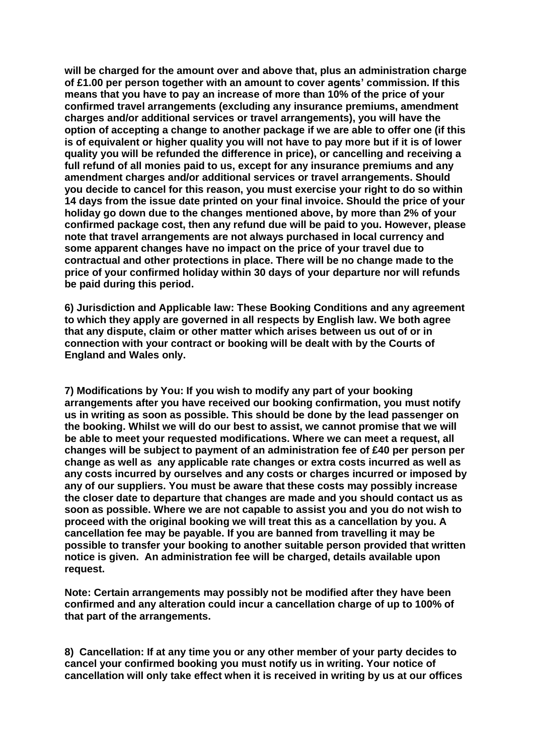**will be charged for the amount over and above that, plus an administration charge of £1.00 per person together with an amount to cover agents' commission. If this means that you have to pay an increase of more than 10% of the price of your confirmed travel arrangements (excluding any insurance premiums, amendment charges and/or additional services or travel arrangements), you will have the option of accepting a change to another package if we are able to offer one (if this is of equivalent or higher quality you will not have to pay more but if it is of lower quality you will be refunded the difference in price), or cancelling and receiving a full refund of all monies paid to us, except for any insurance premiums and any amendment charges and/or additional services or travel arrangements. Should you decide to cancel for this reason, you must exercise your right to do so within 14 days from the issue date printed on your final invoice. Should the price of your holiday go down due to the changes mentioned above, by more than 2% of your confirmed package cost, then any refund due will be paid to you. However, please note that travel arrangements are not always purchased in local currency and some apparent changes have no impact on the price of your travel due to contractual and other protections in place. There will be no change made to the price of your confirmed holiday within 30 days of your departure nor will refunds be paid during this period.**

**6) Jurisdiction and Applicable law: These Booking Conditions and any agreement to which they apply are governed in all respects by English law. We both agree that any dispute, claim or other matter which arises between us out of or in connection with your contract or booking will be dealt with by the Courts of England and Wales only.**

**7) Modifications by You: If you wish to modify any part of your booking arrangements after you have received our booking confirmation, you must notify us in writing as soon as possible. This should be done by the lead passenger on the booking. Whilst we will do our best to assist, we cannot promise that we will be able to meet your requested modifications. Where we can meet a request, all changes will be subject to payment of an administration fee of £40 per person per change as well as any applicable rate changes or extra costs incurred as well as any costs incurred by ourselves and any costs or charges incurred or imposed by any of our suppliers. You must be aware that these costs may possibly increase the closer date to departure that changes are made and you should contact us as soon as possible. Where we are not capable to assist you and you do not wish to proceed with the original booking we will treat this as a cancellation by you. A cancellation fee may be payable. If you are banned from travelling it may be possible to transfer your booking to another suitable person provided that written notice is given. An administration fee will be charged, details available upon request.**

**Note: Certain arrangements may possibly not be modified after they have been confirmed and any alteration could incur a cancellation charge of up to 100% of that part of the arrangements.**

**8) Cancellation: If at any time you or any other member of your party decides to cancel your confirmed booking you must notify us in writing. Your notice of cancellation will only take effect when it is received in writing by us at our offices**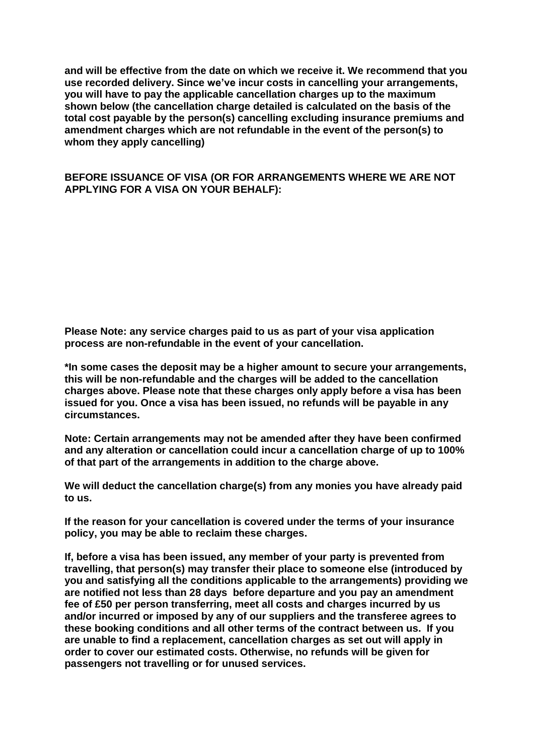**and will be effective from the date on which we receive it. We recommend that you use recorded delivery. Since we've incur costs in cancelling your arrangements, you will have to pay the applicable cancellation charges up to the maximum shown below (the cancellation charge detailed is calculated on the basis of the total cost payable by the person(s) cancelling excluding insurance premiums and amendment charges which are not refundable in the event of the person(s) to whom they apply cancelling)**

**BEFORE ISSUANCE OF VISA (OR FOR ARRANGEMENTS WHERE WE ARE NOT APPLYING FOR A VISA ON YOUR BEHALF):**

**Please Note: any service charges paid to us as part of your visa application process are non-refundable in the event of your cancellation.**

**\*In some cases the deposit may be a higher amount to secure your arrangements, this will be non-refundable and the charges will be added to the cancellation charges above. Please note that these charges only apply before a visa has been issued for you. Once a visa has been issued, no refunds will be payable in any circumstances.**

**Note: Certain arrangements may not be amended after they have been confirmed and any alteration or cancellation could incur a cancellation charge of up to 100% of that part of the arrangements in addition to the charge above.**

**We will deduct the cancellation charge(s) from any monies you have already paid to us.**

**If the reason for your cancellation is covered under the terms of your insurance policy, you may be able to reclaim these charges.**

**If, before a visa has been issued, any member of your party is prevented from travelling, that person(s) may transfer their place to someone else (introduced by you and satisfying all the conditions applicable to the arrangements) providing we are notified not less than 28 days before departure and you pay an amendment fee of £50 per person transferring, meet all costs and charges incurred by us and/or incurred or imposed by any of our suppliers and the transferee agrees to these booking conditions and all other terms of the contract between us. If you are unable to find a replacement, cancellation charges as set out will apply in order to cover our estimated costs. Otherwise, no refunds will be given for passengers not travelling or for unused services.**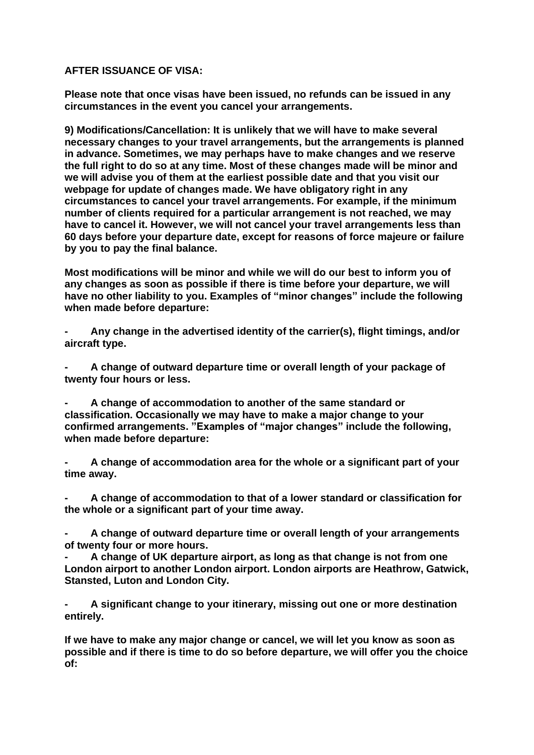## **AFTER ISSUANCE OF VISA:**

**Please note that once visas have been issued, no refunds can be issued in any circumstances in the event you cancel your arrangements.**

**9) Modifications/Cancellation: It is unlikely that we will have to make several necessary changes to your travel arrangements, but the arrangements is planned in advance. Sometimes, we may perhaps have to make changes and we reserve the full right to do so at any time. Most of these changes made will be minor and we will advise you of them at the earliest possible date and that you visit our webpage for update of changes made. We have obligatory right in any circumstances to cancel your travel arrangements. For example, if the minimum number of clients required for a particular arrangement is not reached, we may have to cancel it. However, we will not cancel your travel arrangements less than 60 days before your departure date, except for reasons of force majeure or failure by you to pay the final balance.**

**Most modifications will be minor and while we will do our best to inform you of any changes as soon as possible if there is time before your departure, we will have no other liability to you. Examples of "minor changes" include the following when made before departure:**

**- Any change in the advertised identity of the carrier(s), flight timings, and/or aircraft type.**

**- A change of outward departure time or overall length of your package of twenty four hours or less.**

**- A change of accommodation to another of the same standard or classification. Occasionally we may have to make a major change to your confirmed arrangements. "Examples of "major changes" include the following, when made before departure:**

**- A change of accommodation area for the whole or a significant part of your time away.**

**- A change of accommodation to that of a lower standard or classification for the whole or a significant part of your time away.**

**- A change of outward departure time or overall length of your arrangements of twenty four or more hours.**

**- A change of UK departure airport, as long as that change is not from one London airport to another London airport. London airports are Heathrow, Gatwick, Stansted, Luton and London City.**

**- A significant change to your itinerary, missing out one or more destination entirely.**

**If we have to make any major change or cancel, we will let you know as soon as possible and if there is time to do so before departure, we will offer you the choice of:**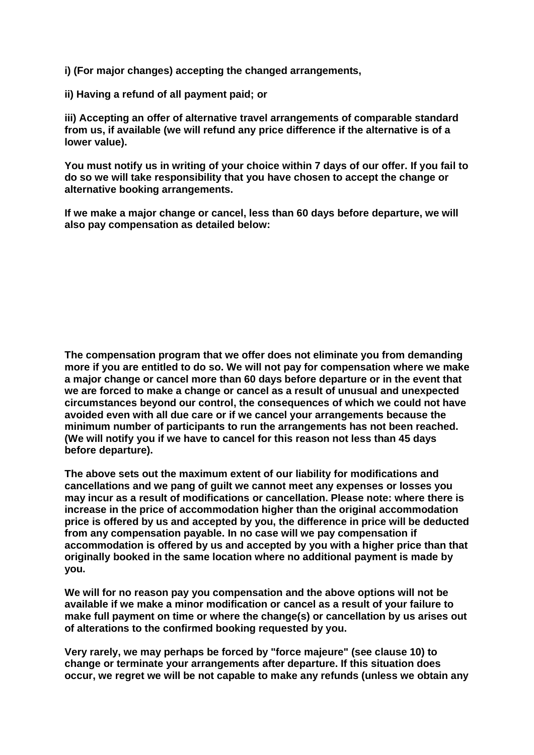**i) (For major changes) accepting the changed arrangements,**

**ii) Having a refund of all payment paid; or**

**iii) Accepting an offer of alternative travel arrangements of comparable standard from us, if available (we will refund any price difference if the alternative is of a lower value).**

**You must notify us in writing of your choice within 7 days of our offer. If you fail to do so we will take responsibility that you have chosen to accept the change or alternative booking arrangements.**

**If we make a major change or cancel, less than 60 days before departure, we will also pay compensation as detailed below:**

**The compensation program that we offer does not eliminate you from demanding more if you are entitled to do so. We will not pay for compensation where we make a major change or cancel more than 60 days before departure or in the event that we are forced to make a change or cancel as a result of unusual and unexpected circumstances beyond our control, the consequences of which we could not have avoided even with all due care or if we cancel your arrangements because the minimum number of participants to run the arrangements has not been reached. (We will notify you if we have to cancel for this reason not less than 45 days before departure).**

**The above sets out the maximum extent of our liability for modifications and cancellations and we pang of guilt we cannot meet any expenses or losses you may incur as a result of modifications or cancellation. Please note: where there is increase in the price of accommodation higher than the original accommodation price is offered by us and accepted by you, the difference in price will be deducted from any compensation payable. In no case will we pay compensation if accommodation is offered by us and accepted by you with a higher price than that originally booked in the same location where no additional payment is made by you.**

**We will for no reason pay you compensation and the above options will not be available if we make a minor modification or cancel as a result of your failure to make full payment on time or where the change(s) or cancellation by us arises out of alterations to the confirmed booking requested by you.**

**Very rarely, we may perhaps be forced by "force majeure" (see clause 10) to change or terminate your arrangements after departure. If this situation does occur, we regret we will be not capable to make any refunds (unless we obtain any**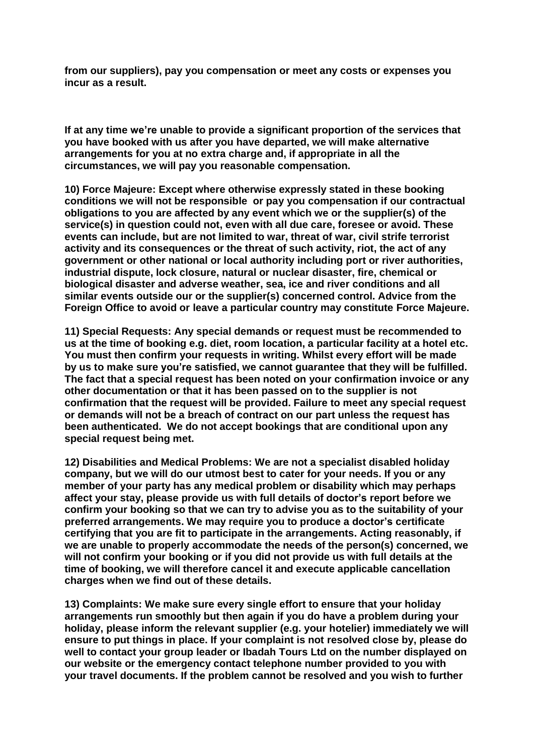**from our suppliers), pay you compensation or meet any costs or expenses you incur as a result.**

**If at any time we're unable to provide a significant proportion of the services that you have booked with us after you have departed, we will make alternative arrangements for you at no extra charge and, if appropriate in all the circumstances, we will pay you reasonable compensation.**

**10) Force Majeure: Except where otherwise expressly stated in these booking conditions we will not be responsible or pay you compensation if our contractual obligations to you are affected by any event which we or the supplier(s) of the service(s) in question could not, even with all due care, foresee or avoid. These events can include, but are not limited to war, threat of war, civil strife terrorist activity and its consequences or the threat of such activity, riot, the act of any government or other national or local authority including port or river authorities, industrial dispute, lock closure, natural or nuclear disaster, fire, chemical or biological disaster and adverse weather, sea, ice and river conditions and all similar events outside our or the supplier(s) concerned control. Advice from the Foreign Office to avoid or leave a particular country may constitute Force Majeure.**

**11) Special Requests: Any special demands or request must be recommended to us at the time of booking e.g. diet, room location, a particular facility at a hotel etc. You must then confirm your requests in writing. Whilst every effort will be made by us to make sure you're satisfied, we cannot guarantee that they will be fulfilled. The fact that a special request has been noted on your confirmation invoice or any other documentation or that it has been passed on to the supplier is not confirmation that the request will be provided. Failure to meet any special request or demands will not be a breach of contract on our part unless the request has been authenticated. We do not accept bookings that are conditional upon any special request being met.**

**12) Disabilities and Medical Problems: We are not a specialist disabled holiday company, but we will do our utmost best to cater for your needs. If you or any member of your party has any medical problem or disability which may perhaps affect your stay, please provide us with full details of doctor's report before we confirm your booking so that we can try to advise you as to the suitability of your preferred arrangements. We may require you to produce a doctor's certificate certifying that you are fit to participate in the arrangements. Acting reasonably, if we are unable to properly accommodate the needs of the person(s) concerned, we will not confirm your booking or if you did not provide us with full details at the time of booking, we will therefore cancel it and execute applicable cancellation charges when we find out of these details.**

**13) Complaints: We make sure every single effort to ensure that your holiday arrangements run smoothly but then again if you do have a problem during your holiday, please inform the relevant supplier (e.g. your hotelier) immediately we will ensure to put things in place. If your complaint is not resolved close by, please do well to contact your group leader or Ibadah Tours Ltd on the number displayed on our website or the emergency contact telephone number provided to you with your travel documents. If the problem cannot be resolved and you wish to further**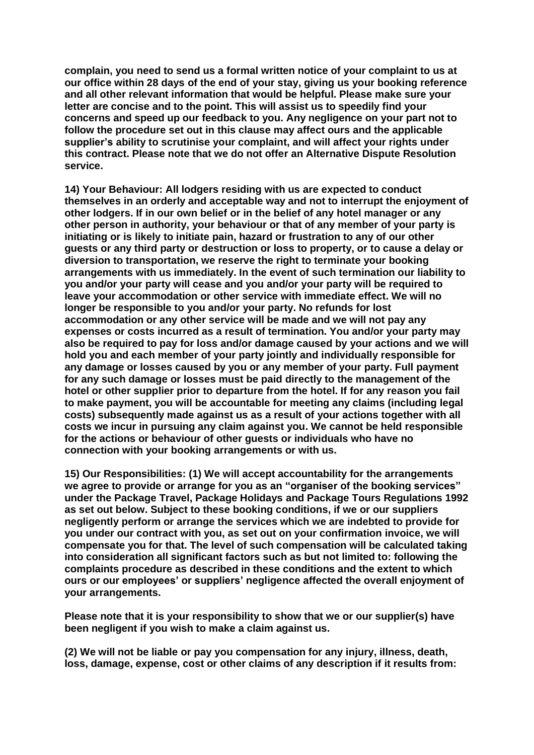**complain, you need to send us a formal written notice of your complaint to us at our office within 28 days of the end of your stay, giving us your booking reference and all other relevant information that would be helpful. Please make sure your letter are concise and to the point. This will assist us to speedily find your concerns and speed up our feedback to you. Any negligence on your part not to follow the procedure set out in this clause may affect ours and the applicable supplier's ability to scrutinise your complaint, and will affect your rights under this contract. Please note that we do not offer an Alternative Dispute Resolution service.**

**14) Your Behaviour: All lodgers residing with us are expected to conduct themselves in an orderly and acceptable way and not to interrupt the enjoyment of other lodgers. If in our own belief or in the belief of any hotel manager or any other person in authority, your behaviour or that of any member of your party is initiating or is likely to initiate pain, hazard or frustration to any of our other guests or any third party or destruction or loss to property, or to cause a delay or diversion to transportation, we reserve the right to terminate your booking arrangements with us immediately. In the event of such termination our liability to you and/or your party will cease and you and/or your party will be required to leave your accommodation or other service with immediate effect. We will no longer be responsible to you and/or your party. No refunds for lost accommodation or any other service will be made and we will not pay any expenses or costs incurred as a result of termination. You and/or your party may also be required to pay for loss and/or damage caused by your actions and we will hold you and each member of your party jointly and individually responsible for any damage or losses caused by you or any member of your party. Full payment for any such damage or losses must be paid directly to the management of the hotel or other supplier prior to departure from the hotel. If for any reason you fail to make payment, you will be accountable for meeting any claims (including legal costs) subsequently made against us as a result of your actions together with all costs we incur in pursuing any claim against you. We cannot be held responsible for the actions or behaviour of other guests or individuals who have no connection with your booking arrangements or with us.**

**15) Our Responsibilities: (1) We will accept accountability for the arrangements we agree to provide or arrange for you as an "organiser of the booking services" under the Package Travel, Package Holidays and Package Tours Regulations 1992 as set out below. Subject to these booking conditions, if we or our suppliers negligently perform or arrange the services which we are indebted to provide for you under our contract with you, as set out on your confirmation invoice, we will compensate you for that. The level of such compensation will be calculated taking into consideration all significant factors such as but not limited to: following the complaints procedure as described in these conditions and the extent to which ours or our employees' or suppliers' negligence affected the overall enjoyment of your arrangements.**

**Please note that it is your responsibility to show that we or our supplier(s) have been negligent if you wish to make a claim against us.**

**(2) We will not be liable or pay you compensation for any injury, illness, death, loss, damage, expense, cost or other claims of any description if it results from:**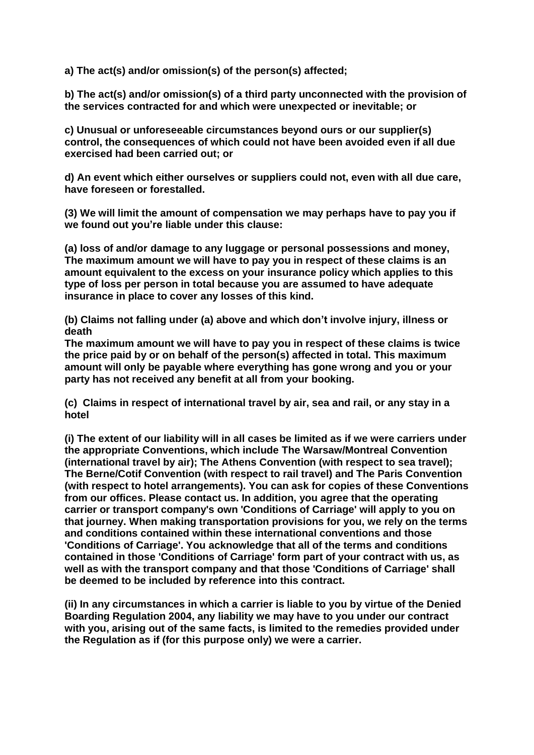**a) The act(s) and/or omission(s) of the person(s) affected;**

**b) The act(s) and/or omission(s) of a third party unconnected with the provision of the services contracted for and which were unexpected or inevitable; or**

**c) Unusual or unforeseeable circumstances beyond ours or our supplier(s) control, the consequences of which could not have been avoided even if all due exercised had been carried out; or**

**d) An event which either ourselves or suppliers could not, even with all due care, have foreseen or forestalled.**

**(3) We will limit the amount of compensation we may perhaps have to pay you if we found out you're liable under this clause:**

**(a) loss of and/or damage to any luggage or personal possessions and money, The maximum amount we will have to pay you in respect of these claims is an amount equivalent to the excess on your insurance policy which applies to this type of loss per person in total because you are assumed to have adequate insurance in place to cover any losses of this kind.**

**(b) Claims not falling under (a) above and which don't involve injury, illness or death**

**The maximum amount we will have to pay you in respect of these claims is twice the price paid by or on behalf of the person(s) affected in total. This maximum amount will only be payable where everything has gone wrong and you or your party has not received any benefit at all from your booking.**

**(c) Claims in respect of international travel by air, sea and rail, or any stay in a hotel**

**(i) The extent of our liability will in all cases be limited as if we were carriers under the appropriate Conventions, which include The Warsaw/Montreal Convention (international travel by air); The Athens Convention (with respect to sea travel); The Berne/Cotif Convention (with respect to rail travel) and The Paris Convention (with respect to hotel arrangements). You can ask for copies of these Conventions from our offices. Please contact us. In addition, you agree that the operating carrier or transport company's own 'Conditions of Carriage' will apply to you on that journey. When making transportation provisions for you, we rely on the terms and conditions contained within these international conventions and those 'Conditions of Carriage'. You acknowledge that all of the terms and conditions contained in those 'Conditions of Carriage' form part of your contract with us, as well as with the transport company and that those 'Conditions of Carriage' shall be deemed to be included by reference into this contract.**

**(ii) In any circumstances in which a carrier is liable to you by virtue of the Denied Boarding Regulation 2004, any liability we may have to you under our contract with you, arising out of the same facts, is limited to the remedies provided under the Regulation as if (for this purpose only) we were a carrier.**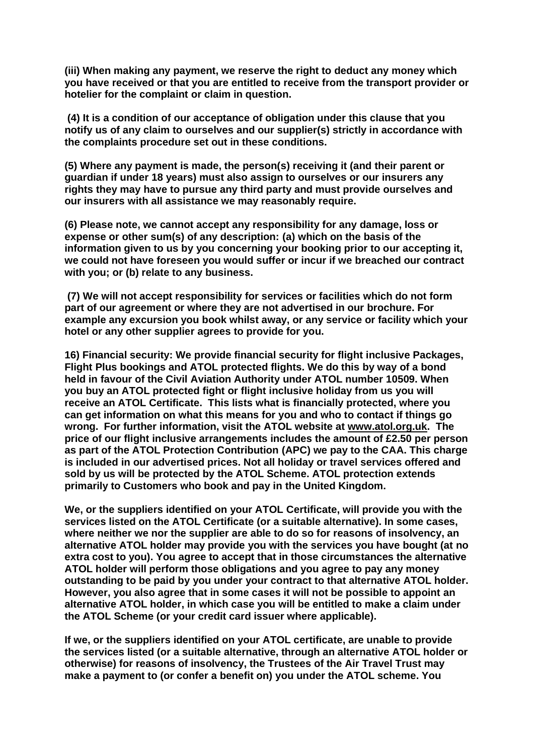**(iii) When making any payment, we reserve the right to deduct any money which you have received or that you are entitled to receive from the transport provider or hotelier for the complaint or claim in question.**

**(4) It is a condition of our acceptance of obligation under this clause that you notify us of any claim to ourselves and our supplier(s) strictly in accordance with the complaints procedure set out in these conditions.**

**(5) Where any payment is made, the person(s) receiving it (and their parent or guardian if under 18 years) must also assign to ourselves or our insurers any rights they may have to pursue any third party and must provide ourselves and our insurers with all assistance we may reasonably require.**

**(6) Please note, we cannot accept any responsibility for any damage, loss or expense or other sum(s) of any description: (a) which on the basis of the information given to us by you concerning your booking prior to our accepting it, we could not have foreseen you would suffer or incur if we breached our contract with you; or (b) relate to any business.**

**(7) We will not accept responsibility for services or facilities which do not form part of our agreement or where they are not advertised in our brochure. For example any excursion you book whilst away, or any service or facility which your hotel or any other supplier agrees to provide for you.**

**16) Financial security: We provide financial security for flight inclusive Packages, Flight Plus bookings and ATOL protected flights. We do this by way of a bond held in favour of the Civil Aviation Authority under ATOL number 10509. When you buy an ATOL protected fight or flight inclusive holiday from us you will receive an ATOL Certificate. This lists what is financially protected, where you can get information on what this means for you and who to contact if things go wrong. For further information, visit the ATOL website at [www.atol.org.uk.](http://www.atol.org.uk/) The price of our flight inclusive arrangements includes the amount of £2.50 per person as part of the ATOL Protection Contribution (APC) we pay to the CAA. This charge is included in our advertised prices. Not all holiday or travel services offered and sold by us will be protected by the ATOL Scheme. ATOL protection extends primarily to Customers who book and pay in the United Kingdom.**

**We, or the suppliers identified on your ATOL Certificate, will provide you with the services listed on the ATOL Certificate (or a suitable alternative). In some cases, where neither we nor the supplier are able to do so for reasons of insolvency, an alternative ATOL holder may provide you with the services you have bought (at no extra cost to you). You agree to accept that in those circumstances the alternative ATOL holder will perform those obligations and you agree to pay any money outstanding to be paid by you under your contract to that alternative ATOL holder. However, you also agree that in some cases it will not be possible to appoint an alternative ATOL holder, in which case you will be entitled to make a claim under the ATOL Scheme (or your credit card issuer where applicable).**

**If we, or the suppliers identified on your ATOL certificate, are unable to provide the services listed (or a suitable alternative, through an alternative ATOL holder or otherwise) for reasons of insolvency, the Trustees of the Air Travel Trust may make a payment to (or confer a benefit on) you under the ATOL scheme. You**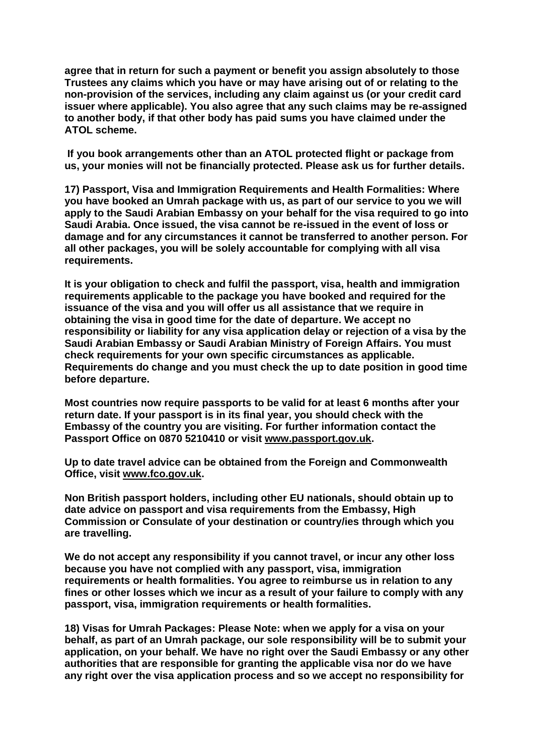**agree that in return for such a payment or benefit you assign absolutely to those Trustees any claims which you have or may have arising out of or relating to the non-provision of the services, including any claim against us (or your credit card issuer where applicable). You also agree that any such claims may be re-assigned to another body, if that other body has paid sums you have claimed under the ATOL scheme.**

**If you book arrangements other than an ATOL protected flight or package from us, your monies will not be financially protected. Please ask us for further details.**

**17) Passport, Visa and Immigration Requirements and Health Formalities: Where you have booked an Umrah package with us, as part of our service to you we will apply to the Saudi Arabian Embassy on your behalf for the visa required to go into Saudi Arabia. Once issued, the visa cannot be re-issued in the event of loss or damage and for any circumstances it cannot be transferred to another person. For all other packages, you will be solely accountable for complying with all visa requirements.**

**It is your obligation to check and fulfil the passport, visa, health and immigration requirements applicable to the package you have booked and required for the issuance of the visa and you will offer us all assistance that we require in obtaining the visa in good time for the date of departure. We accept no responsibility or liability for any visa application delay or rejection of a visa by the Saudi Arabian Embassy or Saudi Arabian Ministry of Foreign Affairs. You must check requirements for your own specific circumstances as applicable. Requirements do change and you must check the up to date position in good time before departure.**

**Most countries now require passports to be valid for at least 6 months after your return date. If your passport is in its final year, you should check with the Embassy of the country you are visiting. For further information contact the Passport Office on 0870 5210410 or visit [www.passport.gov.uk.](http://www.passport.gov.uk/)**

**Up to date travel advice can be obtained from the Foreign and Commonwealth Office, visit [www.fco.gov.uk.](http://www.fco.gov.uk/)**

**Non British passport holders, including other EU nationals, should obtain up to date advice on passport and visa requirements from the Embassy, High Commission or Consulate of your destination or country/ies through which you are travelling.**

**We do not accept any responsibility if you cannot travel, or incur any other loss because you have not complied with any passport, visa, immigration requirements or health formalities. You agree to reimburse us in relation to any fines or other losses which we incur as a result of your failure to comply with any passport, visa, immigration requirements or health formalities.**

**18) Visas for Umrah Packages: Please Note: when we apply for a visa on your behalf, as part of an Umrah package, our sole responsibility will be to submit your application, on your behalf. We have no right over the Saudi Embassy or any other authorities that are responsible for granting the applicable visa nor do we have any right over the visa application process and so we accept no responsibility for**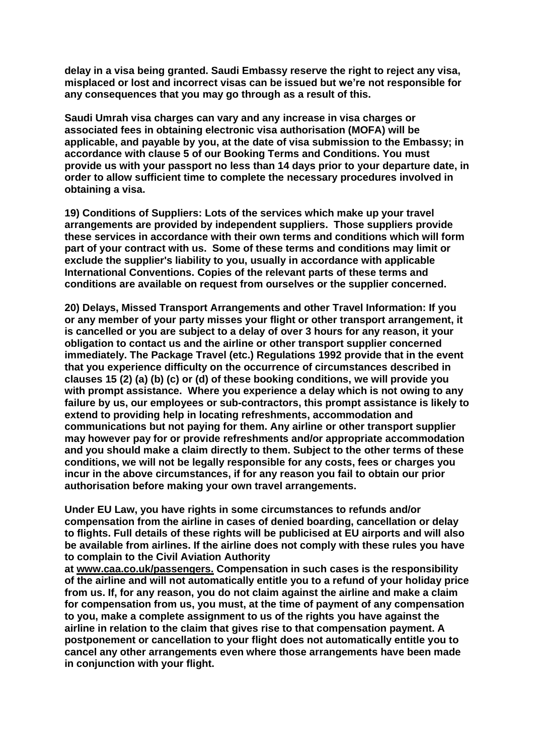**delay in a visa being granted. Saudi Embassy reserve the right to reject any visa, misplaced or lost and incorrect visas can be issued but we're not responsible for any consequences that you may go through as a result of this.**

**Saudi Umrah visa charges can vary and any increase in visa charges or associated fees in obtaining electronic visa authorisation (MOFA) will be applicable, and payable by you, at the date of visa submission to the Embassy; in accordance with clause 5 of our Booking Terms and Conditions. You must provide us with your passport no less than 14 days prior to your departure date, in order to allow sufficient time to complete the necessary procedures involved in obtaining a visa.**

**19) Conditions of Suppliers: Lots of the services which make up your travel arrangements are provided by independent suppliers. Those suppliers provide these services in accordance with their own terms and conditions which will form part of your contract with us. Some of these terms and conditions may limit or exclude the supplier's liability to you, usually in accordance with applicable International Conventions. Copies of the relevant parts of these terms and conditions are available on request from ourselves or the supplier concerned.**

**20) Delays, Missed Transport Arrangements and other Travel Information: If you or any member of your party misses your flight or other transport arrangement, it is cancelled or you are subject to a delay of over 3 hours for any reason, it your obligation to contact us and the airline or other transport supplier concerned immediately. The Package Travel (etc.) Regulations 1992 provide that in the event that you experience difficulty on the occurrence of circumstances described in clauses 15 (2) (a) (b) (c) or (d) of these booking conditions, we will provide you with prompt assistance. Where you experience a delay which is not owing to any failure by us, our employees or sub-contractors, this prompt assistance is likely to extend to providing help in locating refreshments, accommodation and communications but not paying for them. Any airline or other transport supplier may however pay for or provide refreshments and/or appropriate accommodation and you should make a claim directly to them. Subject to the other terms of these conditions, we will not be legally responsible for any costs, fees or charges you incur in the above circumstances, if for any reason you fail to obtain our prior authorisation before making your own travel arrangements.**

**Under EU Law, you have rights in some circumstances to refunds and/or compensation from the airline in cases of denied boarding, cancellation or delay to flights. Full details of these rights will be publicised at EU airports and will also be available from airlines. If the airline does not comply with these rules you have to complain to the Civil Aviation Authority**

**at [www.caa.co.uk/passengers.](http://www.caa.co.uk/passengers.) Compensation in such cases is the responsibility of the airline and will not automatically entitle you to a refund of your holiday price from us. If, for any reason, you do not claim against the airline and make a claim for compensation from us, you must, at the time of payment of any compensation to you, make a complete assignment to us of the rights you have against the airline in relation to the claim that gives rise to that compensation payment. A postponement or cancellation to your flight does not automatically entitle you to cancel any other arrangements even where those arrangements have been made in conjunction with your flight.**